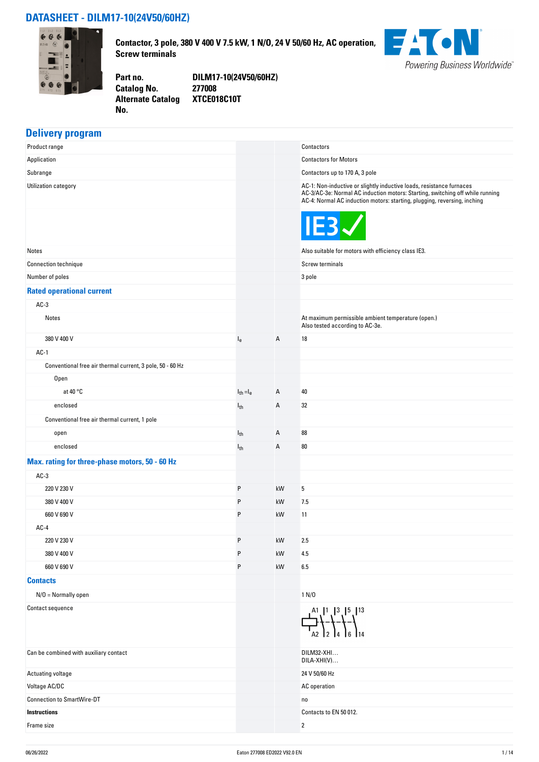#### **DATASHEET - DILM17-10(24V50/60HZ)**



**Contactor, 3 pole, 380 V 400 V 7.5 kW, 1 N/O, 24 V 50/60 Hz, AC operation, Screw terminals**



**Catalog No. Alternate Catalog No.** 

**Part no. DILM17-10(24V50/60HZ) XTCE018C10T**

### **Delivery program**

| . .                                                       |                |    |                                                                                                                                                                                                                                   |
|-----------------------------------------------------------|----------------|----|-----------------------------------------------------------------------------------------------------------------------------------------------------------------------------------------------------------------------------------|
| Product range                                             |                |    | Contactors                                                                                                                                                                                                                        |
| Application                                               |                |    | <b>Contactors for Motors</b>                                                                                                                                                                                                      |
| Subrange                                                  |                |    | Contactors up to 170 A, 3 pole                                                                                                                                                                                                    |
| Utilization category                                      |                |    | AC-1: Non-inductive or slightly inductive loads, resistance furnaces<br>AC-3/AC-3e: Normal AC induction motors: Starting, switching off while running<br>AC-4: Normal AC induction motors: starting, plugging, reversing, inching |
|                                                           |                |    | IE3                                                                                                                                                                                                                               |
| Notes                                                     |                |    | Also suitable for motors with efficiency class IE3.                                                                                                                                                                               |
| <b>Connection technique</b>                               |                |    | Screw terminals                                                                                                                                                                                                                   |
| Number of poles                                           |                |    | 3 pole                                                                                                                                                                                                                            |
| <b>Rated operational current</b>                          |                |    |                                                                                                                                                                                                                                   |
| $AC-3$                                                    |                |    |                                                                                                                                                                                                                                   |
| Notes                                                     |                |    | At maximum permissible ambient temperature (open.)<br>Also tested according to AC-3e.                                                                                                                                             |
| 380 V 400 V                                               | $I_{e}$        | Α  | 18                                                                                                                                                                                                                                |
| $AC-1$                                                    |                |    |                                                                                                                                                                                                                                   |
| Conventional free air thermal current, 3 pole, 50 - 60 Hz |                |    |                                                                                                                                                                                                                                   |
| Open                                                      |                |    |                                                                                                                                                                                                                                   |
| at 40 $\degree$ C                                         | $I_{th} = I_e$ | Α  | 40                                                                                                                                                                                                                                |
| enclosed                                                  | $I_{th}$       | Α  | 32                                                                                                                                                                                                                                |
| Conventional free air thermal current, 1 pole             |                |    |                                                                                                                                                                                                                                   |
| open                                                      | $I_{th}$       | Α  | 88                                                                                                                                                                                                                                |
| enclosed                                                  | $I_{th}$       | Α  | 80                                                                                                                                                                                                                                |
| Max. rating for three-phase motors, 50 - 60 Hz            |                |    |                                                                                                                                                                                                                                   |
| $AC-3$                                                    |                |    |                                                                                                                                                                                                                                   |
| 220 V 230 V                                               | P              | kW | 5                                                                                                                                                                                                                                 |
| 380 V 400 V                                               | P              | kW | 7.5                                                                                                                                                                                                                               |
| 660 V 690 V                                               | P              | kW | 11                                                                                                                                                                                                                                |
| $AC-4$                                                    |                |    |                                                                                                                                                                                                                                   |
| 220 V 230 V                                               | P              | kW | 2.5                                                                                                                                                                                                                               |
| 380 V 400 V                                               | P              | kW | 4.5                                                                                                                                                                                                                               |
| 660 V 690 V                                               | P              | kW | 6.5                                                                                                                                                                                                                               |
| <b>Contacts</b>                                           |                |    |                                                                                                                                                                                                                                   |
| $N/O = Normally open$                                     |                |    | 1 N/D                                                                                                                                                                                                                             |
| Contact sequence                                          |                |    | $A^1$ , $1^1$ , $1^3$ , $1^5$ , $1^{13}$                                                                                                                                                                                          |
| Can be combined with auxiliary contact                    |                |    | DILM32-XHI<br>DILA-XHI(V)                                                                                                                                                                                                         |
| Actuating voltage                                         |                |    | 24 V 50/60 Hz                                                                                                                                                                                                                     |
| Voltage AC/DC                                             |                |    | AC operation                                                                                                                                                                                                                      |
| <b>Connection to SmartWire-DT</b>                         |                |    | no                                                                                                                                                                                                                                |
| <b>Instructions</b>                                       |                |    | Contacts to EN 50 012.                                                                                                                                                                                                            |
| Frame size                                                |                |    | $\overline{2}$                                                                                                                                                                                                                    |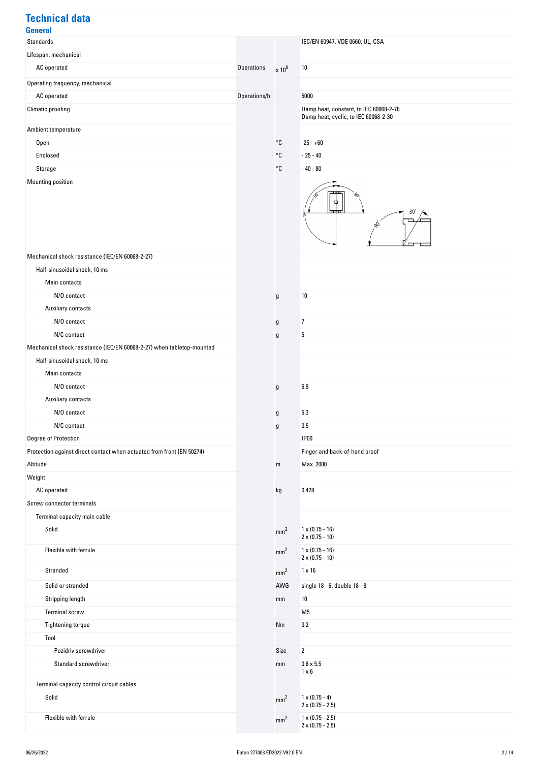## **Technical data General**<br>Standards **IEC/EN 60947, VDE 0660, UL, CSA** Lifespan, mechanical AC operated  $\times 10^6$  and  $\times 10^6$  and  $\times 10^6$  and  $\times 10^6$  and  $\times 10^6$  and  $\times 10^6$ Operating frequency, mechanical AC operated **Operations** Superations, and the operations of the second operations of  $\alpha$ Climatic proofing Climatic proofing Climatic proofing Damp heat, constant, to IEC 60068-2-78 Damp heat, cyclic, to IEC 60068-2-30 Ambient temperature  $\sim$ C -25 - +60  $\sim$  25 - 40  $\sim$  25 - 40  $\sim$  25 - 40  $\sim$  25 - 40  $\sim$  25 - 40  $\sim$  25 - 40  $\sim$  25 - 40  $\sim$  25 - 40  $\sim$  25 - 40  $\sim$ Storage  $\sim$ C  $\sim$  40 - 80 Mounting position  $30$ si<br>V Mechanical shock resistance (IEC/EN 60068-2-27) Half-sinusoidal shock, 10 ms Main contacts N/U contact g 2012 and 2012 and 2013 and 2013 and 2013 and 2014 and 2013 and 2014 and 2014 and 2014 and 2014 and 2014 and 2014 and 2014 and 2014 and 2014 and 2014 and 2014 and 2014 and 2014 and 2014 and 2014 and 2014 and 2 Auxiliary contacts N/U contact g 7 N/C contact government and contact government and contact government and contact government and contact government and contact government and contact government and contact government and contact government and contact gov Mechanical shock resistance (IEC/EN 60068-2-27) when tabletop-mounted Half-sinusoidal shock, 10 ms Main contacts

| wani contacto                                                         |                 |                                                  |
|-----------------------------------------------------------------------|-----------------|--------------------------------------------------|
| N/O contact                                                           | g               | 6.9                                              |
| Auxiliary contacts                                                    |                 |                                                  |
| N/O contact                                                           | g               | 5.3                                              |
| N/C contact                                                           | g               | 3.5                                              |
| Degree of Protection                                                  |                 | <b>IP00</b>                                      |
| Protection against direct contact when actuated from front (EN 50274) |                 | Finger and back-of-hand proof                    |
| Altitude                                                              | m               | Max. 2000                                        |
| Weight                                                                |                 |                                                  |
| AC operated                                                           | kg              | 0.428                                            |
| Screw connector terminals                                             |                 |                                                  |
| Terminal capacity main cable                                          |                 |                                                  |
| Solid                                                                 | mm <sup>2</sup> | $1 \times (0.75 - 16)$<br>$2 \times (0.75 - 10)$ |
| Flexible with ferrule                                                 | mm <sup>2</sup> | $1 \times (0.75 - 16)$<br>$2 \times (0.75 - 10)$ |
| Stranded                                                              | mm <sup>2</sup> | $1 \times 16$                                    |
| Solid or stranded                                                     | AWG             | single 18 - 6, double 18 - 8                     |
| Stripping length                                                      | mm              | 10                                               |
| <b>Terminal screw</b>                                                 |                 | M <sub>5</sub>                                   |
| Tightening torque                                                     | Nm              | 3.2                                              |
| Tool                                                                  |                 |                                                  |
| Pozidriv screwdriver                                                  | Size            | $\overline{2}$                                   |
| Standard screwdriver                                                  | mm              | $0.8 \times 5.5$<br>$1 \times 6$                 |
| Terminal capacity control circuit cables                              |                 |                                                  |

Solid mm<sup>2</sup> 1 x (0.75 - 4)<br>2 x (0.75 - 2.5)

2 x (0.75 - 2.5)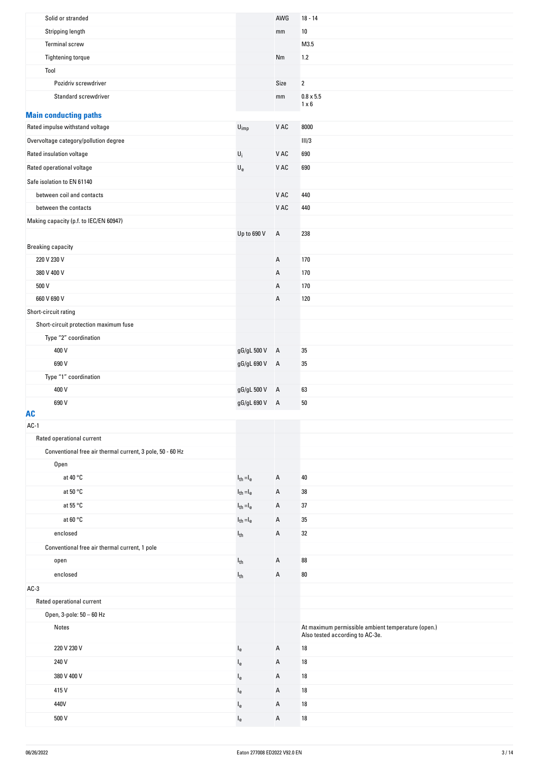| Solid or stranded                                         |                             | AWG            | $18 - 14$                                          |
|-----------------------------------------------------------|-----------------------------|----------------|----------------------------------------------------|
| Stripping length                                          |                             | mm             | $10\,$                                             |
| <b>Terminal screw</b>                                     |                             |                | M3.5                                               |
| Tightening torque                                         |                             | Nm             | $1.2$                                              |
| Tool                                                      |                             |                |                                                    |
| Pozidriv screwdriver                                      |                             | Size           | $\overline{2}$                                     |
| Standard screwdriver                                      |                             | mm             | $0.8 \times 5.5$<br>$1 \times 6$                   |
| <b>Main conducting paths</b>                              |                             |                |                                                    |
| Rated impulse withstand voltage                           | $\mathsf{U}_{\mathsf{imp}}$ | V AC           | 8000                                               |
| Overvoltage category/pollution degree                     |                             |                | III/3                                              |
| Rated insulation voltage                                  | $\mathsf{U}_i$              | V AC           | 690                                                |
| Rated operational voltage                                 | $\mathsf{U}_{\mathsf{e}}$   | V AC           | 690                                                |
| Safe isolation to EN 61140                                |                             |                |                                                    |
| between coil and contacts                                 |                             | V AC           | 440                                                |
| between the contacts                                      |                             | V AC           | 440                                                |
| Making capacity (p.f. to IEC/EN 60947)                    |                             |                |                                                    |
|                                                           | Up to 690 V                 | Α              | 238                                                |
| <b>Breaking capacity</b>                                  |                             |                |                                                    |
| 220 V 230 V                                               |                             | Α              | 170                                                |
| 380 V 400 V                                               |                             | Α              | 170                                                |
| 500 V                                                     |                             | А              | 170                                                |
| 660 V 690 V                                               |                             | Α              | 120                                                |
| Short-circuit rating                                      |                             |                |                                                    |
| Short-circuit protection maximum fuse                     |                             |                |                                                    |
| Type "2" coordination                                     |                             |                |                                                    |
| 400 V                                                     | gG/gL 500 V A               |                | 35                                                 |
| 690 V                                                     | gG/gL 690 V A               |                | 35                                                 |
| Type "1" coordination                                     |                             |                |                                                    |
| 400 V                                                     | gG/gL 500 V                 | $\mathsf{A}$   | 63                                                 |
| 690 V                                                     | gG/gL 690 V                 | $\overline{A}$ | $50\,$                                             |
| <b>AC</b><br>$AC-1$                                       |                             |                |                                                    |
| Rated operational current                                 |                             |                |                                                    |
| Conventional free air thermal current, 3 pole, 50 - 60 Hz |                             |                |                                                    |
| Open                                                      |                             |                |                                                    |
| at 40 °C                                                  | $I_{th} = I_e$              | Α              | 40                                                 |
| at 50 °C                                                  | $I_{th} = I_e$              | Α              | 38                                                 |
| at 55 °C                                                  | $I_{th} = I_e$              | Α              | 37                                                 |
| at 60 °C                                                  | $I_{th} = I_e$              | Α              | $35\,$                                             |
| enclosed                                                  | $I_{th}$                    | Α              | 32                                                 |
| Conventional free air thermal current, 1 pole             |                             |                |                                                    |
| open                                                      | $I_{th}$                    | Α              | 88                                                 |
| enclosed                                                  | $I_{th}$                    | Α              | $80\,$                                             |
| $AC-3$                                                    |                             |                |                                                    |
| Rated operational current                                 |                             |                |                                                    |
| Open, 3-pole: 50 - 60 Hz                                  |                             |                |                                                    |
| Notes                                                     |                             |                | At maximum permissible ambient temperature (open.) |
|                                                           |                             |                | Also tested according to AC-3e.                    |
| 220 V 230 V                                               | $I_{e}$                     | Α              | 18                                                 |
| 240 V                                                     | $I_{e}$                     | Α              | 18                                                 |
| 380 V 400 V                                               | $I_{e}$                     | Α              | 18                                                 |
| 415V                                                      | $I_{e}$                     | Α              | 18                                                 |
| 440V                                                      | $I_{e}$                     | Α              | $18\,$                                             |
| 500 V                                                     | $I_{e}$                     | А              | $18\,$                                             |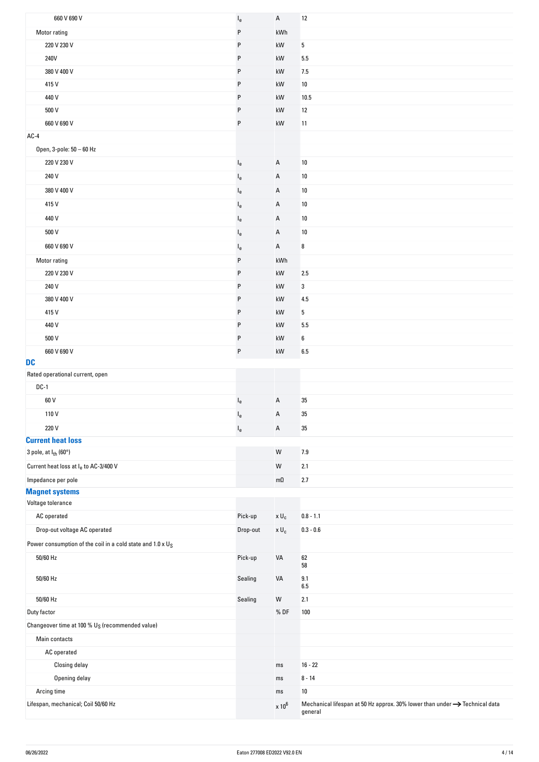| 660 V 690 V                                                        | $\mathsf{I}_{\mathsf{e}}$ | A                      | $12$                                                                                   |
|--------------------------------------------------------------------|---------------------------|------------------------|----------------------------------------------------------------------------------------|
| Motor rating                                                       | P                         | kWh                    |                                                                                        |
| 220 V 230 V                                                        | P                         | kW                     | 5                                                                                      |
| 240V                                                               | P                         | kW                     | 5.5                                                                                    |
| 380 V 400 V                                                        | P                         | kW                     | 7.5                                                                                    |
| 415 V                                                              | P                         | kW                     | 10                                                                                     |
| 440 V                                                              | P                         | kW                     | 10.5                                                                                   |
| 500 V                                                              | P                         | kW                     | 12                                                                                     |
| 660 V 690 V                                                        | P                         | kW                     | 11                                                                                     |
| AC-4                                                               |                           |                        |                                                                                        |
| Open, 3-pole: 50 - 60 Hz                                           |                           |                        |                                                                                        |
| 220 V 230 V                                                        | $I_{e}$                   | Α                      | $10$                                                                                   |
| 240 V                                                              | $I_e$                     | Α                      | $10$                                                                                   |
| 380 V 400 V                                                        | $I_{e}$                   | Α                      | 10                                                                                     |
| 415V                                                               | $I_{e}$                   | А                      | 10                                                                                     |
| 440 V                                                              | $I_{e}$                   | Α                      | $10\,$                                                                                 |
| 500 V                                                              | $I_{e}$                   | А                      | $10$                                                                                   |
| 660 V 690 V                                                        | $I_{e}$                   | А                      | 8                                                                                      |
| Motor rating                                                       | P                         | kWh                    |                                                                                        |
| 220 V 230 V                                                        | P                         | $\mathsf{k}\mathsf{W}$ | 2.5                                                                                    |
| 240 V                                                              | P                         | kW                     | 3                                                                                      |
| 380 V 400 V                                                        | P                         | kW                     | 4.5                                                                                    |
| 415V                                                               | P                         | kW                     | 5                                                                                      |
| 440 V                                                              | P                         | kW                     | 5.5                                                                                    |
| 500 V                                                              | P                         | kW                     | 6                                                                                      |
| 660 V 690 V                                                        | P                         | kW                     | 6.5                                                                                    |
| <b>DC</b>                                                          |                           |                        |                                                                                        |
| Rated operational current, open<br>$DC-1$                          |                           |                        |                                                                                        |
| 60 V                                                               |                           | Α                      | 35                                                                                     |
| 110V                                                               | $I_{e}$                   | Α                      | $35\,$                                                                                 |
| 220 V                                                              | $I_e$                     |                        | 35                                                                                     |
| <b>Current heat loss</b>                                           | $I_e$                     | А                      |                                                                                        |
| 3 pole, at I <sub>th</sub> (60°)                                   |                           | ${\sf W}$              | 7.9                                                                                    |
| Current heat loss at I <sub>e</sub> to AC-3/400 V                  |                           | ${\sf W}$              | 2.1                                                                                    |
| Impedance per pole                                                 |                           | $m\Omega$              | $2.7\,$                                                                                |
| <b>Magnet systems</b>                                              |                           |                        |                                                                                        |
| Voltage tolerance                                                  |                           |                        |                                                                                        |
| AC operated                                                        | Pick-up                   | $\times$ $\sf{U}_c$    | $0.8 - 1.1$                                                                            |
| Drop-out voltage AC operated                                       | Drop-out                  | $\times$ U $_{\rm c}$  | $0.3 - 0.6$                                                                            |
| Power consumption of the coil in a cold state and $1.0 \times U_S$ |                           |                        |                                                                                        |
| 50/60 Hz                                                           | Pick-up                   | VA                     | 62<br>58                                                                               |
| 50/60 Hz                                                           | Sealing                   | VA                     | 9.1<br>6.5                                                                             |
| 50/60 Hz                                                           | Sealing                   | ${\sf W}$              | 2.1                                                                                    |
| Duty factor                                                        |                           | %DF                    | 100                                                                                    |
| Changeover time at 100 % U <sub>S</sub> (recommended value)        |                           |                        |                                                                                        |
| Main contacts                                                      |                           |                        |                                                                                        |
| AC operated                                                        |                           |                        |                                                                                        |
| Closing delay                                                      |                           | ms                     | $16 - 22$                                                                              |
| Opening delay                                                      |                           | ms                     | $8 - 14$                                                                               |
| Arcing time<br>Lifespan, mechanical; Coil 50/60 Hz                 |                           | ms                     | $10\,$                                                                                 |
|                                                                    |                           |                        | Mechanical lifespan at 50 Hz approx. 30% lower than under $\rightarrow$ Technical data |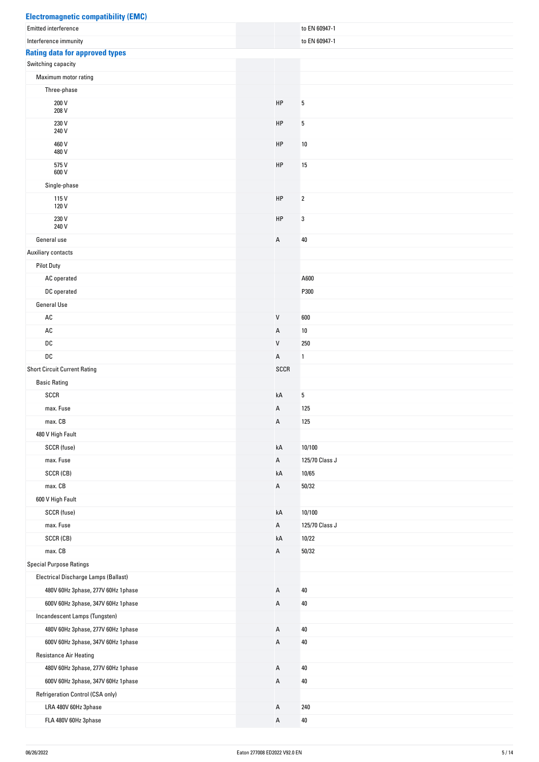| <b>Electromagnetic compatibility (EMC)</b> |      |                |
|--------------------------------------------|------|----------------|
| <b>Emitted interference</b>                |      | to EN 60947-1  |
| Interference immunity                      |      | to EN 60947-1  |
| <b>Rating data for approved types</b>      |      |                |
| Switching capacity                         |      |                |
| Maximum motor rating                       |      |                |
| Three-phase                                |      |                |
| 200 V<br>208 V                             | HP   | $\sqrt{5}$     |
| 230 V<br>240 V                             | HP   | $\sqrt{5}$     |
| 460 V<br>480 V                             | HP   | 10             |
| 575 V<br>600 V                             | HP   | $15$           |
| Single-phase                               |      |                |
| 115V<br>120 V                              | HP   | $\overline{2}$ |
| 230 V<br>240 V                             | HP   | 3              |
| General use                                | А    | 40             |
| Auxiliary contacts                         |      |                |
| <b>Pilot Duty</b>                          |      |                |
| AC operated                                |      | A600           |
| DC operated                                |      | P300           |
| <b>General Use</b>                         |      |                |
| AC                                         | V    | 600            |
| AC                                         | А    | 10             |
| DC                                         | V    | 250            |
| $\mathsf{DC}$                              | А    | $\mathbf{1}$   |
| <b>Short Circuit Current Rating</b>        | SCCR |                |
| <b>Basic Rating</b>                        |      |                |
| SCCR                                       | kA   | 5              |
| max. Fuse                                  | А    | 125            |
| max. CB                                    | А    | 125            |
| 480 V High Fault                           |      |                |
| SCCR (fuse)                                | kA   | 10/100         |
| max. Fuse                                  | А    | 125/70 Class J |
| SCCR (CB)                                  | kA   | 10/65          |
| max. CB                                    | А    | 50/32          |
| 600 V High Fault                           |      |                |
| SCCR (fuse)                                | kA   | 10/100         |
| max. Fuse                                  | А    | 125/70 Class J |
| SCCR (CB)                                  | kA   | 10/22          |
| max. CB                                    | А    | 50/32          |
| <b>Special Purpose Ratings</b>             |      |                |
| Electrical Discharge Lamps (Ballast)       |      |                |
| 480V 60Hz 3phase, 277V 60Hz 1phase         | А    | 40             |
| 600V 60Hz 3phase, 347V 60Hz 1phase         | А    | $40\,$         |
| Incandescent Lamps (Tungsten)              |      |                |
| 480V 60Hz 3phase, 277V 60Hz 1phase         | А    | 40             |
| 600V 60Hz 3phase, 347V 60Hz 1phase         | А    | 40             |
| <b>Resistance Air Heating</b>              |      |                |
| 480V 60Hz 3phase, 277V 60Hz 1phase         | А    | 40             |
| 600V 60Hz 3phase, 347V 60Hz 1phase         | А    | 40             |
| Refrigeration Control (CSA only)           |      |                |
| LRA 480V 60Hz 3phase                       | А    | 240            |
| FLA 480V 60Hz 3phase                       | А    | 40             |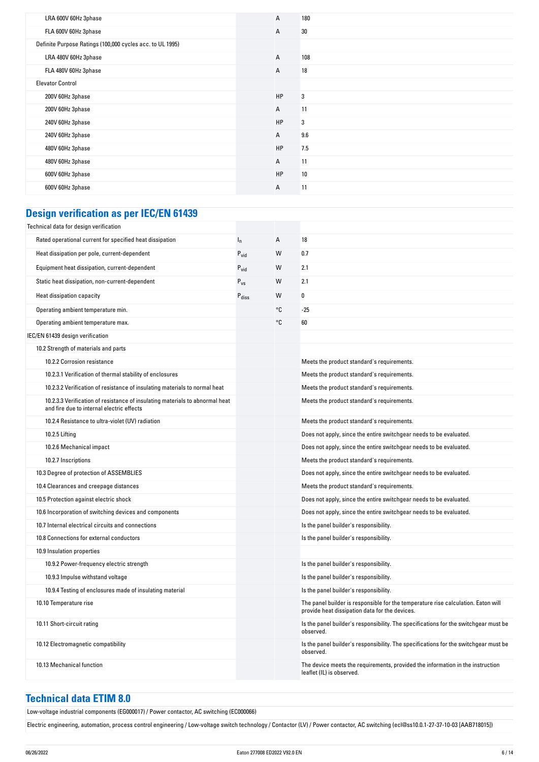| LRA 600V 60Hz 3phase                                      | $\overline{A}$ | 180 |
|-----------------------------------------------------------|----------------|-----|
| FLA 600V 60Hz 3phase                                      | A              | 30  |
| Definite Purpose Ratings (100,000 cycles acc. to UL 1995) |                |     |
| LRA 480V 60Hz 3phase                                      | A              | 108 |
| FLA 480V 60Hz 3phase                                      | $\overline{A}$ | 18  |
| <b>Elevator Control</b>                                   |                |     |
| 200V 60Hz 3phase                                          | HP             | 3   |
| 200V 60Hz 3phase                                          | A              | 11  |
| 240V 60Hz 3phase                                          | HP             | 3   |
| 240V 60Hz 3phase                                          | A              | 9.6 |
| 480V 60Hz 3phase                                          | HP             | 7.5 |
| 480V 60Hz 3phase                                          | A              | 11  |
| 600V 60Hz 3phase                                          | HP             | 10  |
| 600V 60Hz 3phase                                          | A              | 11  |
|                                                           |                |     |

#### **Design verification as per IEC/EN 61439**

| Technical data for design verification                                                                                    |                   |    |                                                                                                                                     |
|---------------------------------------------------------------------------------------------------------------------------|-------------------|----|-------------------------------------------------------------------------------------------------------------------------------------|
| Rated operational current for specified heat dissipation                                                                  | $I_{n}$           | A  | 18                                                                                                                                  |
| Heat dissipation per pole, current-dependent                                                                              | $P_{\text{vid}}$  | W  | 0.7                                                                                                                                 |
| Equipment heat dissipation, current-dependent                                                                             | $P_{\text{vid}}$  | W  | 2.1                                                                                                                                 |
| Static heat dissipation, non-current-dependent                                                                            | $P_{VS}$          | W  | 2.1                                                                                                                                 |
| Heat dissipation capacity                                                                                                 | $P_{\text{diss}}$ | W  | 0                                                                                                                                   |
| Operating ambient temperature min.                                                                                        |                   | °C | $-25$                                                                                                                               |
| Operating ambient temperature max.                                                                                        |                   | °C | 60                                                                                                                                  |
| IEC/EN 61439 design verification                                                                                          |                   |    |                                                                                                                                     |
| 10.2 Strength of materials and parts                                                                                      |                   |    |                                                                                                                                     |
| 10.2.2 Corrosion resistance                                                                                               |                   |    | Meets the product standard's requirements.                                                                                          |
| 10.2.3.1 Verification of thermal stability of enclosures                                                                  |                   |    | Meets the product standard's requirements.                                                                                          |
| 10.2.3.2 Verification of resistance of insulating materials to normal heat                                                |                   |    | Meets the product standard's requirements.                                                                                          |
| 10.2.3.3 Verification of resistance of insulating materials to abnormal heat<br>and fire due to internal electric effects |                   |    | Meets the product standard's requirements.                                                                                          |
| 10.2.4 Resistance to ultra-violet (UV) radiation                                                                          |                   |    | Meets the product standard's requirements.                                                                                          |
| 10.2.5 Lifting                                                                                                            |                   |    | Does not apply, since the entire switchgear needs to be evaluated.                                                                  |
| 10.2.6 Mechanical impact                                                                                                  |                   |    | Does not apply, since the entire switchgear needs to be evaluated.                                                                  |
| 10.2.7 Inscriptions                                                                                                       |                   |    | Meets the product standard's requirements.                                                                                          |
| 10.3 Degree of protection of ASSEMBLIES                                                                                   |                   |    | Does not apply, since the entire switchgear needs to be evaluated.                                                                  |
| 10.4 Clearances and creepage distances                                                                                    |                   |    | Meets the product standard's requirements.                                                                                          |
| 10.5 Protection against electric shock                                                                                    |                   |    | Does not apply, since the entire switchgear needs to be evaluated.                                                                  |
| 10.6 Incorporation of switching devices and components                                                                    |                   |    | Does not apply, since the entire switchgear needs to be evaluated.                                                                  |
| 10.7 Internal electrical circuits and connections                                                                         |                   |    | Is the panel builder's responsibility.                                                                                              |
| 10.8 Connections for external conductors                                                                                  |                   |    | Is the panel builder's responsibility.                                                                                              |
| 10.9 Insulation properties                                                                                                |                   |    |                                                                                                                                     |
| 10.9.2 Power-frequency electric strength                                                                                  |                   |    | Is the panel builder's responsibility.                                                                                              |
| 10.9.3 Impulse withstand voltage                                                                                          |                   |    | Is the panel builder's responsibility.                                                                                              |
| 10.9.4 Testing of enclosures made of insulating material                                                                  |                   |    | Is the panel builder's responsibility.                                                                                              |
| 10.10 Temperature rise                                                                                                    |                   |    | The panel builder is responsible for the temperature rise calculation. Eaton will<br>provide heat dissipation data for the devices. |
| 10.11 Short-circuit rating                                                                                                |                   |    | Is the panel builder's responsibility. The specifications for the switchgear must be<br>observed.                                   |
| 10.12 Electromagnetic compatibility                                                                                       |                   |    | Is the panel builder's responsibility. The specifications for the switchgear must be<br>observed.                                   |
| 10.13 Mechanical function                                                                                                 |                   |    | The device meets the requirements, provided the information in the instruction<br>leaflet (IL) is observed.                         |

#### **Technical data ETIM 8.0**

Low-voltage industrial components (EG000017) / Power contactor, AC switching (EC000066)

Electric engineering, automation, process control engineering / Low-voltage switch technology / Contactor (LV) / Power contactor, AC switching (ecl@ss10.0.1-27-37-10-03 [AAB718015])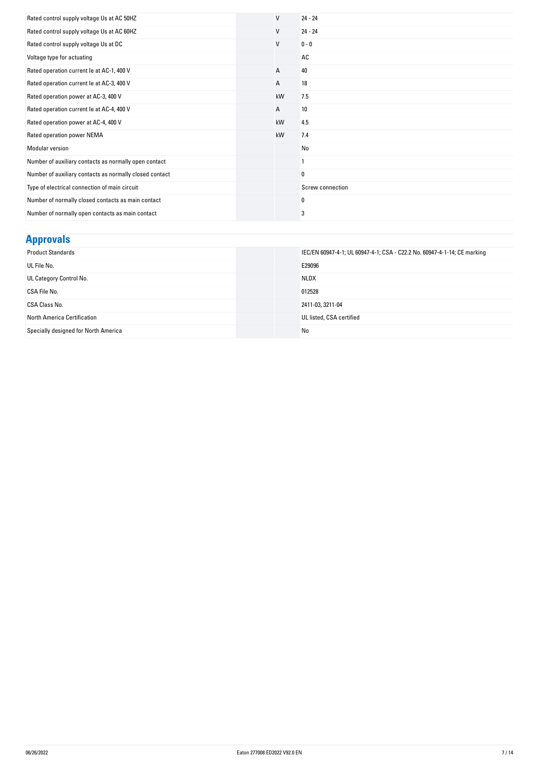| Rated control supply voltage Us at AC 50HZ              | V  | $24 - 24$        |
|---------------------------------------------------------|----|------------------|
| Rated control supply voltage Us at AC 60HZ              | V  | $24 - 24$        |
| Rated control supply voltage Us at DC                   | V  | $0 - 0$          |
| Voltage type for actuating                              |    | AC               |
| Rated operation current le at AC-1, 400 V               | А  | 40               |
| Rated operation current le at AC-3, 400 V               | А  | 18               |
| Rated operation power at AC-3, 400 V                    | kW | 7.5              |
| Rated operation current le at AC-4, 400 V               | А  | 10               |
| Rated operation power at AC-4, 400 V                    | kW | 4.5              |
| Rated operation power NEMA                              | kW | 7.4              |
| Modular version                                         |    | No               |
| Number of auxiliary contacts as normally open contact   |    |                  |
| Number of auxiliary contacts as normally closed contact |    | 0                |
| Type of electrical connection of main circuit           |    | Screw connection |
| Number of normally closed contacts as main contact      |    | 0                |
| Number of normally open contacts as main contact        |    | 3                |

# **Approvals**

| <b>Product Standards</b>             | IEC/EN 60947-4-1; UL 60947-4-1; CSA - C22.2 No. 60947-4-1-14; CE marking |
|--------------------------------------|--------------------------------------------------------------------------|
| UL File No.                          | E29096                                                                   |
| UL Category Control No.              | <b>NLDX</b>                                                              |
| CSA File No.                         | 012528                                                                   |
| CSA Class No.                        | 2411-03, 3211-04                                                         |
| North America Certification          | UL listed, CSA certified                                                 |
| Specially designed for North America | No                                                                       |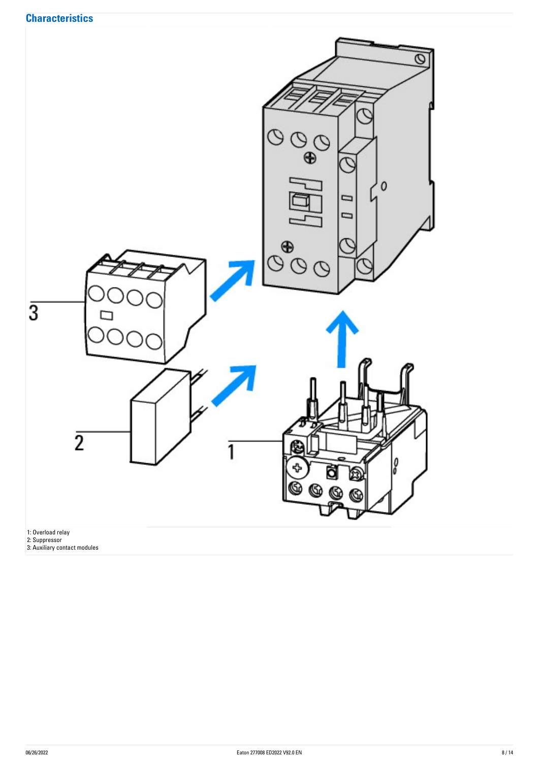

1: Overload relay

2: Suppressor

3: Auxiliary contact modules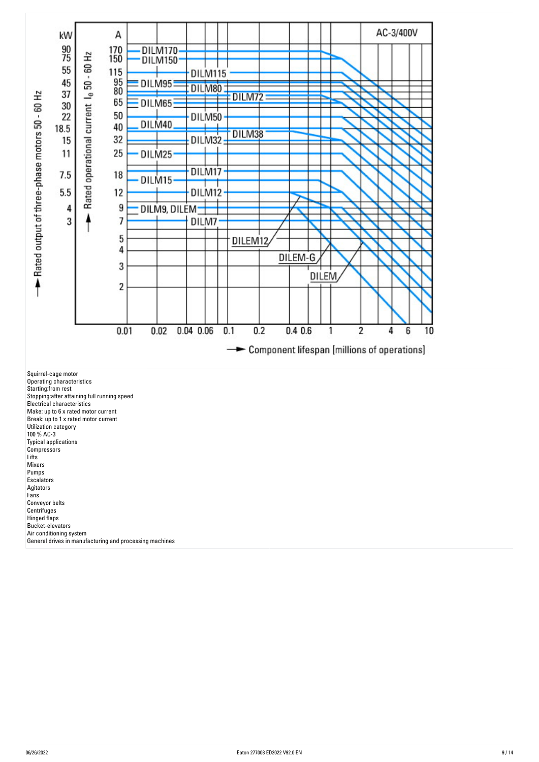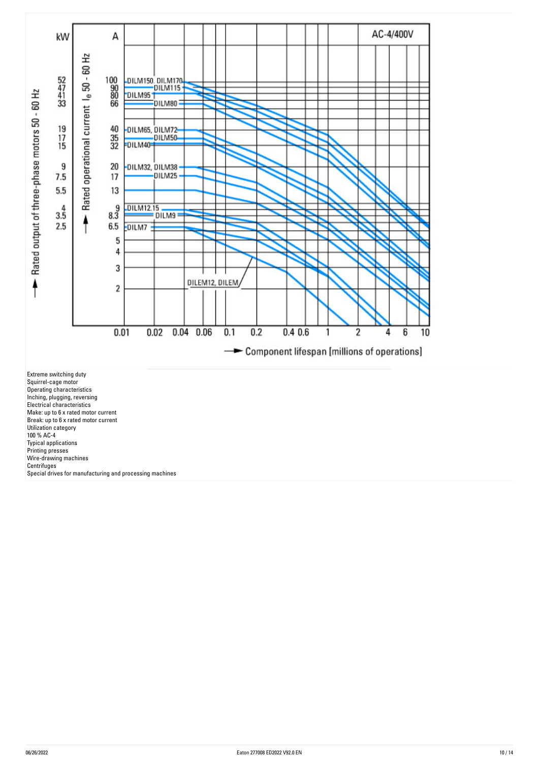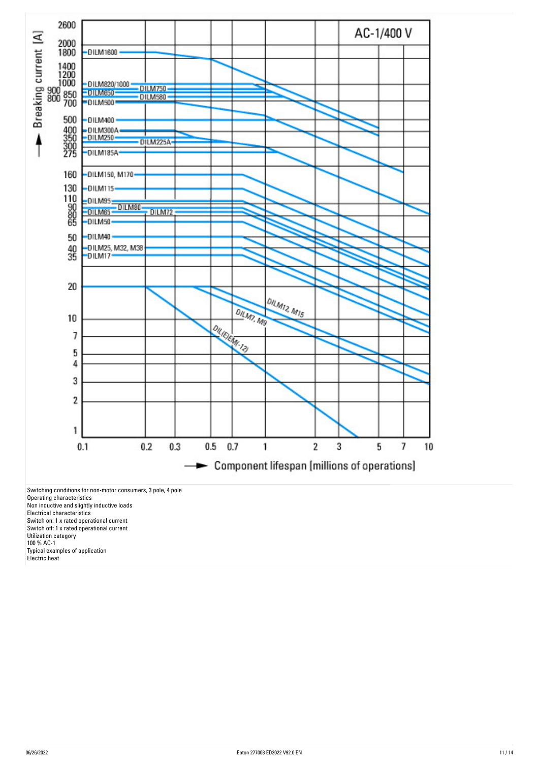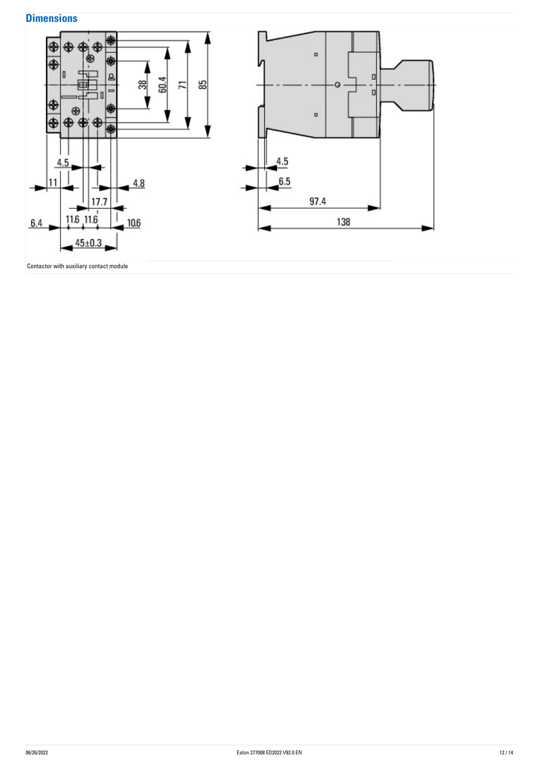## **Dimensions**